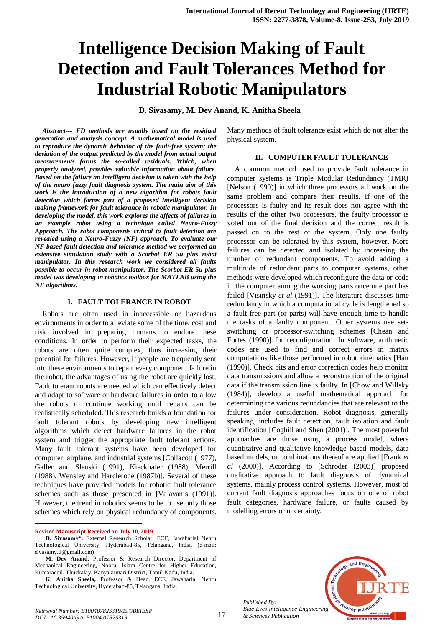# **Intelligence Decision Making of Fault Detection and Fault Tolerances Method for Industrial Robotic Manipulators**

**D. Sivasamy, M. Dev Anand, K. Anitha Sheela** 

*Abstract--- FD methods are usually based on the residual generation and analysis concept. A mathematical model is used to reproduce the dynamic behavior of the fault-free system; the deviation of the output predicted by the model from actual output measurements forms the so-called residuals. Which, when properly analyzed, provides valuable information about failure. Based on the failure an intelligent decision is taken with the help of the neuro fuzzy fault diagnosis system. The main aim of this work is the introduction of a new algorithm for robots fault detection which forms part of a proposed intelligent decision making framework for fault tolerance in robotic manipulator. In developing the model, this work explores the affects of failures in an example robot using a technique called Neuro-Fuzzy Approach. The robot components critical to fault detection are revealed using a Neuro-Fuzzy (NF) approach. To evaluate our NF based fault detection and tolerance method we performed an extensive simulation study with a Scorbot ER 5u plus robot manipulator. In this research work we considered all faults possible to occur in robot manipulator. The Scorbot ER 5u plus model was developing in robotics toolbox for MATLAB using the NF algorithms.* 

# **I. FAULT TOLERANCE IN ROBOT**

Robots are often used in inaccessible or hazardous environments in order to alleviate some of the time, cost and risk involved in preparing humans to endure these conditions. In order to perform their expected tasks, the robots are often quite complex, thus increasing their potential for failures. However, if people are frequently sent into these environments to repair every component failure in the robot, the advantages of using the robot are quickly lost. Fault tolerant robots are needed which can effectively detect and adapt to software or hardware failures in order to allow the robots to continue working until repairs can be realistically scheduled. This research builds a foundation for fault tolerant robots by developing new intelligent algorithms which detect hardware failures in the robot system and trigger the appropriate fault tolerant actions. Many fault tolerant systems have been developed for computer, airplane, and industrial systems [Collacott (1977), Galler and Slenski (1991), Kieckhafer (1988), Merrill (1988), Wensley and Harclerode (1987b)]. Several of these techniques have provided models for robotic fault tolerance schemes such as those presented in [Valavanis (1991)]. However, the trend in robotics seems to be to use only those schemes which rely on physical redundancy of components.

1

Many methods of fault tolerance exist which do not alter the physical system.

#### **II. COMPUTER FAULT TOLERANCE**

A common method used to provide fault tolerance in computer systems is Triple Modular Redundancy (TMR) [Nelson (1990)] in which three processors all work on the same problem and compare their results. If one of the processors is faulty and its result does not agree with the results of the other two processors, the faulty processor is voted out of the final decision and the correct result is passed on to the rest of the system. Only one faulty processor can be tolerated by this system, however. More failures can be detected and isolated by increasing the number of redundant components. To avoid adding a multitude of redundant parts to computer systems, other methods were developed which reconfigure the data or code in the computer among the working parts once one part has failed [Visinsky *et al* (1991)]. The literature discusses time redundancy in which a computational cycle is lengthened so a fault free part (or parts) will have enough time to handle the tasks of a faulty component. Other systems use setswitching or processor-switching schemes [Chean and Fortes (1990)] for reconfiguration. In software, arithmetic codes are used to find and correct errors in matrix computations like those performed in robot kinematics [Han (1990)]. Check bits and error correction codes help monitor data transmissions and allow a reconstruction of the original data if the transmission line is faulty. In [Chow and Willsky (1984)], develop a useful mathematical approach for determining the various redundancies that are relevant to the failures under consideration. Robot diagnosis, generally speaking, includes fault detection, fault isolation and fault identification [Coghill and Shen (2001)]. The most powerful approaches are those using a process model, where quantitative and qualitative knowledge based models, data based models, or combinations thereof are applied [Frank *et al* (2000)]. According to [Schroder (2003)] proposed qualitative approach to fault diagnosis of dynamical systems, mainly process control systems. However, most of current fault diagnosis approaches focus on one of robot fault categories, hardware failure, or faults caused by modelling errors or uncertainty.



17

**Revised Manuscript Received on July 10, 2019.**

**D. Sivasamy\*,** External Research Scholar, ECE, Jawaharlal Nehru Technological University, Hyderabad-85, Telangana, India. (e-mail: sivasamy.d@gmail.com)

**M. Dev Anand,** Professor & Research Director, Department of Mechanical Engineering, Noorul Islam Centre for Higher Education, Kumaracoil, Thuckalay, Kanyakumari District, Tamil Nadu, India.

**K. Anitha Sheela,** Professor & Head, ECE, Jawaharlal Nehru Technological University, Hyderabad-85, Telangana, India.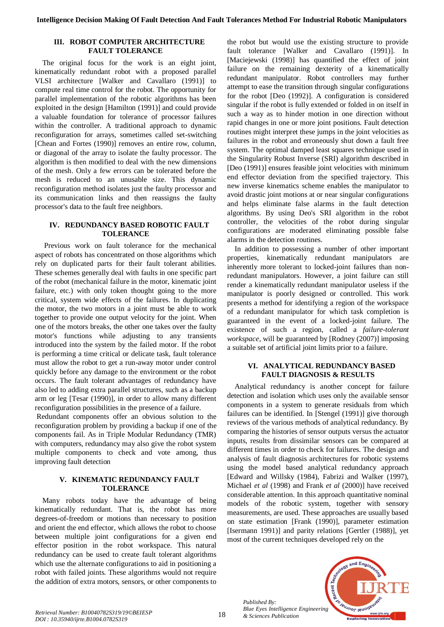# **III. ROBOT COMPUTER ARCHITECTURE FAULT TOLERANCE**

The original focus for the work is an eight joint, kinematically redundant robot with a proposed parallel VLSI architecture [Walker and Cavallaro (1991)] to compute real time control for the robot. The opportunity for parallel implementation of the robotic algorithms has been exploited in the design [Hamilton (1991)] and could provide a valuable foundation for tolerance of processor failures within the controller. A traditional approach to dynamic reconfiguration for arrays, sometimes called set-switching [Chean and Fortes (1990)] removes an entire row, column, or diagonal of the array to isolate the faulty processor. The algorithm is then modified to deal with the new dimensions of the mesh. Only a few errors can be tolerated before the mesh is reduced to an unusable size. This dynamic reconfiguration method isolates just the faulty processor and its communication links and then reassigns the faulty processor's data to the fault free neighbors.

# **IV. REDUNDANCY BASED ROBOTIC FAULT TOLERANCE**

Previous work on fault tolerance for the mechanical aspect of robots has concentrated on those algorithms which rely on duplicated parts for their fault tolerant abilities. These schemes generally deal with faults in one specific part of the robot (mechanical failure in the motor, kinematic joint failure, etc.) with only token thought going to the more critical, system wide effects of the failures. In duplicating the motor, the two motors in a joint must be able to work together to provide one output velocity for the joint. When one of the motors breaks, the other one takes over the faulty motor's functions while adjusting to any transients introduced into the system by the failed motor. If the robot is performing a time critical or delicate task, fault tolerance must allow the robot to get a run-away motor under control quickly before any damage to the environment or the robot occurs. The fault tolerant advantages of redundancy have also led to adding extra parallel structures, such as a backup arm or leg [Tesar (1990)], in order to allow many different reconfiguration possibilities in the presence of a failure.

Redundant components offer an obvious solution to the reconfiguration problem by providing a backup if one of the components fail. As in Triple Modular Redundancy (TMR) with computers, redundancy may also give the robot system multiple components to check and vote among, thus improving fault detection

# **V. KINEMATIC REDUNDANCY FAULT TOLERANCE**

Many robots today have the advantage of being kinematically redundant. That is, the robot has more degrees-of-freedom or motions than necessary to position and orient the end effector, which allows the robot to choose between multiple joint configurations for a given end effector position in the robot workspace. This natural redundancy can be used to create fault tolerant algorithms which use the alternate configurations to aid in positioning a robot with failed joints. These algorithms would not require the addition of extra motors, sensors, or other components to

the robot but would use the existing structure to provide fault tolerance [Walker and Cavallaro (1991)]. In [Maciejewski (1998)] has quantified the effect of joint failure on the remaining dexterity of a kinematically redundant manipulator. Robot controllers may further attempt to ease the transition through singular configurations for the robot [Deo (1992)]. A configuration is considered singular if the robot is fully extended or folded in on itself in such a way as to hinder motion in one direction without rapid changes in one or more joint positions. Fault detection routines might interpret these jumps in the joint velocities as failures in the robot and erroneously shut down a fault free system. The optimal damped least squares technique used in the Singularity Robust Inverse (SRI) algorithm described in [Deo (1991)] ensures feasible joint velocities with minimum end effector deviation from the specified trajectory. This new inverse kinematics scheme enables the manipulator to avoid drastic joint motions at or near singular configurations and helps eliminate false alarms in the fault detection algorithms. By using Deo's SRI algorithm in the robot controller, the velocities of the robot during singular configurations are moderated eliminating possible false alarms in the detection routines.

In addition to possessing a number of other important properties, kinematically redundant manipulators are inherently more tolerant to locked-joint failures than nonredundant manipulators. However, a joint failure can still render a kinematically redundant manipulator useless if the manipulator is poorly designed or controlled. This work presents a method for identifying a region of the workspace of a redundant manipulator for which task completion is guaranteed in the event of a locked-joint failure. The existence of such a region, called a *failure-tolerant workspace*, will be guaranteed by [Rodney (2007)] imposing a suitable set of artificial joint limits prior to a failure.

# **VI. ANALYTICAL REDUNDANCY BASED FAULT DIAGNOSIS & RESULTS**

Analytical redundancy is another concept for failure detection and isolation which uses only the available sensor components in a system to generate residuals from which failures can be identified. In [Stengel (1991)] give thorough reviews of the various methods of analytical redundancy. By comparing the histories of sensor outputs versus the actuator inputs, results from dissimilar sensors can be compared at different times in order to check for failures. The design and analysis of fault diagnosis architectures for robotic systems using the model based analytical redundancy approach [Edward and Willsky (1984), Fabrizi and Walker (1997), Michael *et al* (1998) and Frank *et al* (2000)] have received considerable attention. In this approach quantitative nominal models of the robotic system, together with sensory measurements, are used. These approaches are usually based on state estimation [Frank (1990)], parameter estimation [Isermann 1991)] and parity relations [Gertler (1988)], yet most of the current techniques developed rely on the

and Eng Recent Teck **Veuanor lenoire** *Blue Eyes Intelligence Engineering* 

*Published By:*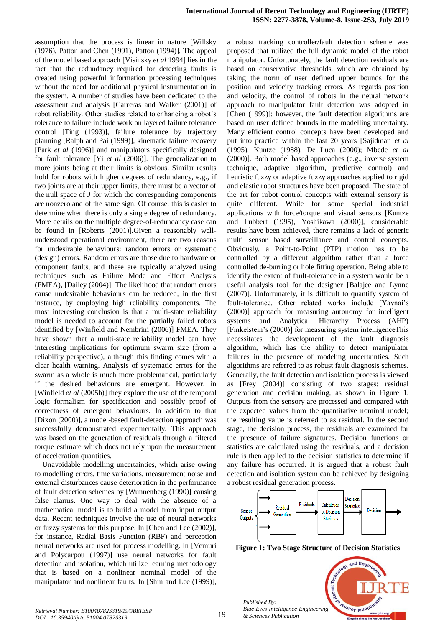assumption that the process is linear in nature [Willsky (1976), Patton and Chen (1991), Patton (1994)]. The appeal of the model based approach [Visinsky *et al* 1994] lies in the fact that the redundancy required for detecting faults is created using powerful information processing techniques without the need for additional physical instrumentation in the system. A number of studies have been dedicated to the assessment and analysis [Carreras and Walker (2001)] of robot reliability. Other studies related to enhancing a robot's tolerance to failure include work on layered failure tolerance control [Ting (1993)], failure tolerance by trajectory planning [Ralph and Pai (1999)], kinematic failure recovery [Park *et al* (1996)] and manipulators specifically designed for fault tolerance [Yi *et al* (2006)]. The generalization to more joints being at their limits is obvious. Similar results hold for robots with higher degrees of redundancy, e.g., if two joints are at their upper limits, there must be a vector of the null space of *J* for which the corresponding components are nonzero and of the same sign. Of course, this is easier to determine when there is only a single degree of redundancy. More details on the multiple degree-of-redundancy case can be found in [Roberts (2001)].Given a reasonably wellunderstood operational environment, there are two reasons for undesirable behaviours: random errors or systematic (design) errors. Random errors are those due to hardware or component faults, and these are typically analyzed using techniques such as Failure Mode and Effect Analysis (FMEA), [Dailey (2004)]. The likelihood that random errors cause undesirable behaviours can be reduced, in the first instance, by employing high reliability components. The most interesting conclusion is that a multi-state reliability model is needed to account for the partially failed robots identified by [Winfield and Nembrini (2006)] FMEA. They have shown that a multi-state reliability model can have interesting implications for optimum swarm size (from a reliability perspective), although this finding comes with a clear health warning. Analysis of systematic errors for the swarm as a whole is much more problematical, particularly if the desired behaviours are emergent. However, in [Winfield *et al* (2005b)] they explore the use of the temporal logic formalism for specification and possibly proof of correctness of emergent behaviours. In addition to that [Dixon (2000)], a model-based fault-detection approach was successfully demonstrated experimentally. This approach was based on the generation of residuals through a filtered torque estimate which does not rely upon the measurement of acceleration quantities.

Unavoidable modelling uncertainties, which arise owing to modelling errors, time variations, measurement noise and external disturbances cause deterioration in the performance of fault detection schemes by [Wunnenberg (1990)] causing false alarms. One way to deal with the absence of a mathematical model is to build a model from input output data. Recent techniques involve the use of neural networks or fuzzy systems for this purpose. In [Chen and Lee (2002)], for instance, Radial Basis Function (RBF) and perception neural networks are used for process modelling. In [Vemuri and Polycarpou (1997)] use neural networks for fault detection and isolation, which utilize learning methodology that is based on a nonlinear nominal model of the manipulator and nonlinear faults. In [Shin and Lee (1999)],

a robust tracking controller/fault detection scheme was proposed that utilized the full dynamic model of the robot manipulator. Unfortunately, the fault detection residuals are based on conservative thresholds, which are obtained by taking the norm of user defined upper bounds for the position and velocity tracking errors. As regards position and velocity, the control of robots in the neural network approach to manipulator fault detection was adopted in [Chen (1999)]; however, the fault detection algorithms are based on user defined bounds in the modelling uncertainty. Many efficient control concepts have been developed and put into practice within the last 20 years [Sajidman *et al* (1995), Kuntze (1988), De Luca (2000); Mbede *et al* (2000)]. Both model based approaches (e.g., inverse system technique, adaptive algorithm, predictive control) and heuristic fuzzy or adaptive fuzzy approaches applied to rigid and elastic robot structures have been proposed. The state of the art for robot control concepts with external sensory is quite different. While for some special industrial applications with force/torque and visual sensors [Kuntze and Lubbert (1995), Yoshikawa (2000)], considerable results have been achieved, there remains a lack of generic multi sensor based surveillance and control concepts. Obviously, a Point-to-Point (PTP) motion has to be controlled by a different algorithm rather than a force controlled de-burring or hole fitting operation. Being able to identify the extent of fault-tolerance in a system would be a useful analysis tool for the designer [Balajee and Lynne (2007)]. Unfortunately, it is difficult to quantify system of fault-tolerance. Other related works include [Yavnai's (2000)] approach for measuring autonomy for intelligent systems and Analytical Hierarchy Process (AHP) [Finkelstein's (2000)] for measuring system intelligenceThis necessitates the development of the fault diagnosis algorithm, which has the ability to detect manipulator failures in the presence of modeling uncertainties. Such algorithms are referred to as robust fault diagnosis schemes. Generally, the fault detection and isolation process is viewed as [Frey (2004)] consisting of two stages: residual generation and decision making, as shown in Figure 1. Outputs from the sensory are processed and compared with the expected values from the quantitative nominal model; the resulting value is referred to as residual. In the second stage, the decision process, the residuals are examined for the presence of failure signatures. Decision functions or statistics are calculated using the residuals, and a decision rule is then applied to the decision statistics to determine if any failure has occurred. It is argued that a robust fault detection and isolation system can be achieved by designing a robust residual generation process.



**Figure 1: Two Stage Structure of Decision Statistics**

cent

and Engi

leusnor leno

*Published By: Blue Eyes Intelligence Engineering & Sciences Publication* 

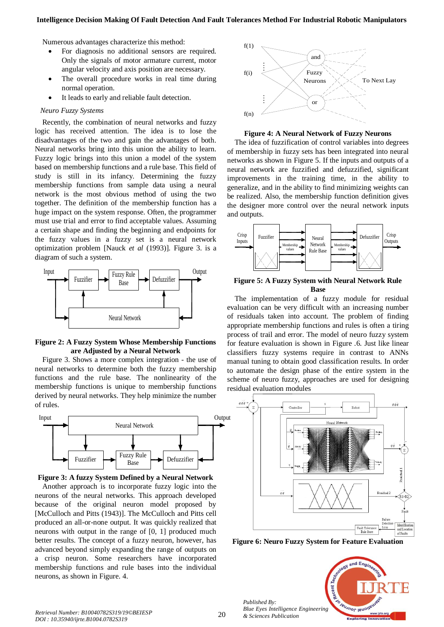## **Intelligence Decision Making Of Fault Detection And Fault Tolerances Method For Industrial Robotic Manipulators**

Numerous advantages characterize this method:

- For diagnosis no additional sensors are required. Only the signals of motor armature current, motor angular velocity and axis position are necessary.
- The overall procedure works in real time during normal operation.
- It leads to early and reliable fault detection.

# *Neuro Fuzzy Systems*

Recently, the combination of neural networks and fuzzy logic has received attention. The idea is to lose the disadvantages of the two and gain the advantages of both. Neural networks bring into this union the ability to learn. Fuzzy logic brings into this union a model of the system based on membership functions and a rule base. This field of study is still in its infancy. Determining the fuzzy membership functions from sample data using a neural network is the most obvious method of using the two together. The definition of the membership function has a huge impact on the system response. Often, the programmer must use trial and error to find acceptable values. Assuming a certain shape and finding the beginning and endpoints for the fuzzy values in a fuzzy set is a neural network optimization problem [Nauck *et al* (1993)]. Figure 3. is a diagram of such a system.





Figure 3. Shows a more complex integration - the use of neural networks to determine both the fuzzy membership functions and the rule base. The nonlinearity of the membership functions is unique to membership functions derived by neural networks. They help minimize the number of rules.





Another approach is to incorporate fuzzy logic into the neurons of the neural networks. This approach developed because of the original neuron model proposed by [McCulloch and Pitts (1943)]. The McCulloch and Pitts cell produced an all-or-none output. It was quickly realized that neurons with output in the range of [0, 1] produced much better results. The concept of a fuzzy neuron, however, has advanced beyond simply expanding the range of outputs on a crisp neuron. Some researchers have incorporated membership functions and rule bases into the individual neurons, as shown in Figure. 4.



## **Figure 4: A Neural Network of Fuzzy Neurons**

The idea of fuzzification of control variables into degrees of membership in fuzzy sets has been integrated into neural networks as shown in Figure 5. If the inputs and outputs of a neural network are fuzzified and defuzzified, significant improvements in the training time, in the ability to generalize, and in the ability to find minimizing weights can be realized. Also, the membership function definition gives the designer more control over the neural network inputs and outputs.



**Figure 5: A Fuzzy System with Neural Network Rule Base**

The implementation of a fuzzy module for residual evaluation can be very difficult with an increasing number of residuals taken into account. The problem of finding appropriate membership functions and rules is often a tiring process of trail and error. The model of neuro fuzzy system for feature evaluation is shown in Figure .6. Just like linear classifiers fuzzy systems require in contrast to ANNs manual tuning to obtain good classification results. In order to automate the design phase of the entire system in the scheme of neuro fuzzy, approaches are used for designing residual evaluation modules



**Figure 6: Neuro Fuzzy System for Feature Evaluation**



*Published By:*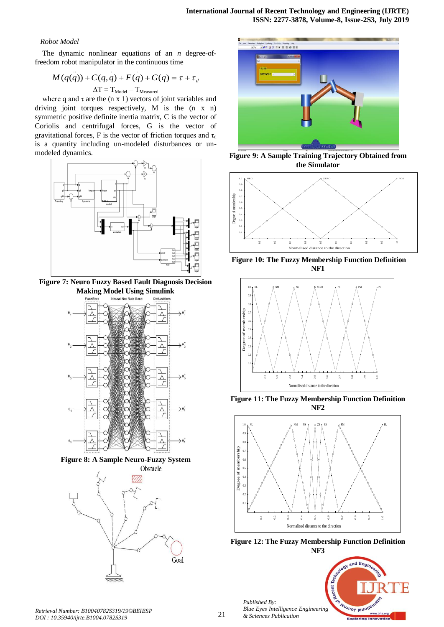# *Robot Model*

The dynamic nonlinear equations of an *n* degree-offreedom robot manipulator in the continuous time

$$
M(q(q)) + C(q,q) + F(q) + G(q) = \tau + \tau_d
$$
  
\n
$$
\Delta T = T_{\text{Model}} - T_{\text{Measured}}
$$

.. . .

where q and  $\tau$  are the (n x 1) vectors of joint variables and driving joint torques respectively, M is the (n x n) symmetric positive definite inertia matrix, C is the vector of Coriolis and centrifugal forces, G is the vector of gravitational forces, F is the vector of friction torques and  $\tau_d$ is a quantity including un-modeled disturbances or unmodeled dynamics.



**Figure 7: Neuro Fuzzy Based Fault Diagnosis Decision Making Model Using Simulink**



**Figure 8: A Sample Neuro-Fuzzy System**





**Figure 9: A Sample Training Trajectory Obtained from the Simulator**



**Figure 10: The Fuzzy Membership Function Definition NF1**



**Figure 11: The Fuzzy Membership Function Definition NF2**



**Figure 12: The Fuzzy Membership Function Definition NF3**



*Published By:*

*& Sciences Publication*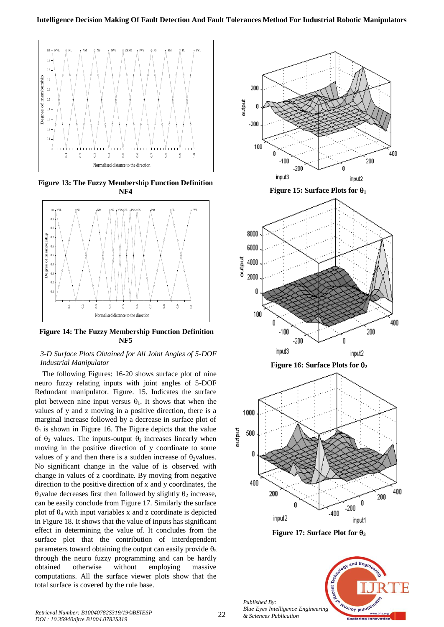

**Figure 13: The Fuzzy Membership Function Definition NF4**



**Figure 14: The Fuzzy Membership Function Definition NF5**

# *3-D Surface Plots Obtained for All Joint Angles of 5-DOF Industrial Manipulator*

The following Figures: 16-20 shows surface plot of nine neuro fuzzy relating inputs with joint angles of 5-DOF Redundant manipulator. Figure. 15. Indicates the surface plot between nine input versus  $\theta_1$ . It shows that when the values of y and z moving in a positive direction, there is a marginal increase followed by a decrease in surface plot of  $\theta_1$  is shown in Figure 16. The Figure depicts that the value of  $\theta_2$  values. The inputs-output  $\theta_2$  increases linearly when moving in the positive direction of y coordinate to some values of y and then there is a sudden increase of  $\theta_2$ values. No significant change in the value of is observed with change in values of z coordinate. By moving from negative direction to the positive direction of x and y coordinates, the  $\theta_3$ value decreases first then followed by slightly  $\theta_2$  increase, can be easily conclude from Figure 17. Similarly the surface plot of  $\theta_4$  with input variables x and z coordinate is depicted in Figure 18. It shows that the value of inputs has significant effect in determining the value of. It concludes from the surface plot that the contribution of interdependent parameters toward obtaining the output can easily provide  $\theta_5$ through the neuro fuzzy programming and can be hardly obtained otherwise without employing massive computations. All the surface viewer plots show that the total surface is covered by the rule base.



*Published By: Blue Eyes Intelligence Engineering*   $ndE_r$ 

**Jeumor len** 

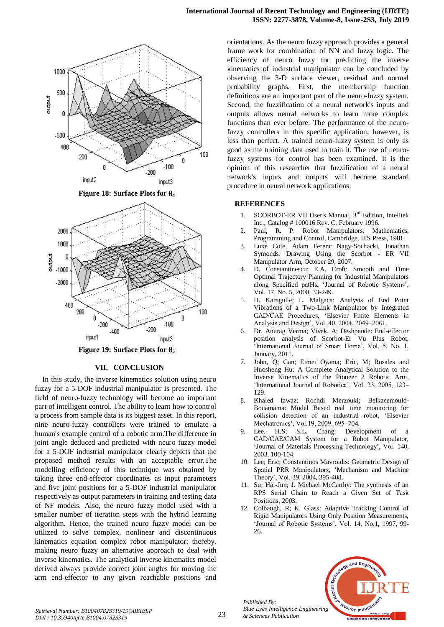

## **VII. CONCLUSION**

In this study, the inverse kinematics solution using neuro fuzzy for a 5-DOF industrial manipulator is presented. The field of neuro-fuzzy technology will become an important part of intelligent control. The ability to learn how to control a process from sample data is its biggest asset. In this report, nine neuro-fuzzy controllers were trained to emulate a human's example control of a robotic arm.The difference in joint angle deduced and predicted with neuro fuzzy model for a 5-DOF industrial manipulator clearly depicts that the proposed method results with an acceptable error.The modelling efficiency of this technique was obtained by taking three end-effector coordinates as input parameters and five joint positions for a 5-DOF industrial manipulator respectively as output parameters in training and testing data of NF models. Also, the neuro fuzzy model used with a smaller number of iteration steps with the hybrid learning algorithm. Hence, the trained neuro fuzzy model can be utilized to solve complex, nonlinear and discontinuous kinematics equation complex robot manipulator; thereby, making neuro fuzzy an alternative approach to deal with inverse kinematics. The analytical inverse kinematics model derived always provide correct joint angles for moving the arm end-effector to any given reachable positions and orientations. As the neuro fuzzy approach provides a general frame work for combination of NN and fuzzy logic. The efficiency of neuro fuzzy for predicting the inverse kinematics of industrial manipulator can be concluded by observing the 3-D surface viewer, residual and normal probability graphs. First, the membership function definitions are an important part of the neuro-fuzzy system. Second, the fuzzification of a neural network's inputs and outputs allows neural networks to learn more complex functions than ever before. The performance of the neurofuzzy controllers in this specific application, however, is less than perfect. A trained neuro-fuzzy system is only as good as the training data used to train it. The use of neurofuzzy systems for control has been examined. It is the opinion of this researcher that fuzzification of a neural network's inputs and outputs will become standard procedure in neural network applications.

## **REFERENCES**

- 1. SCORBOT-ER VII User's Manual, 3<sup>rd</sup> Edition, Intelitek Inc., Catalog # 100016 Rev. C, February 1996.
- 2. Paul, R. P: Robot Manipulators: Mathematics, Programming and Control, Cambridge, ITS Press, 1981.
- 3. Luke Cole, Adam Ferenc Nagy-Sochacki, Jonathan Symonds: Drawing Using the Scorbot - ER VII Manipulator Arm, October 29, 2007.
- 4. D. Constantinescu; E.A. Croft: Smooth and Time Optimal Trajectory Planning for Industrial Manipulators along Specified patHs, 'Journal of Robotic Systems', Vol. 17, No. 5, 2000, 33-249.
- 5. H. Karagulle; L. Malgaca: Analysis of End Point Vibrations of a Two-Link Manipulator by Integrated CAD/CAE Procedures, 'Elsevier Finite Elements in Analysis and Design', Vol. 40, 2004, 2049–2061.
- 6. Dr. Anurag Verma; Vivek, A; Deshpande: End-effector position analysis of Scorbot-Er Vu Plus Robot, 'International Journal of Smart Home', Vol. 5, No. 1, January, 2011.
- 7. John, Q; Gan; Eimei Oyama; Eric, M; Rosales and Huosheng Hu: A Complete Analytical Solution to the Inverse Kinematics of the Pioneer 2 Robotic Arm, 'International Journal of Robotica', Vol. 23, 2005, 123– 129.
- 8. Khaled fawaz; Rochdi Merzouki; Belkacemould-Bouamama: Model Based real time monitoring for collision detection of an industrial robot, 'Elsevier Mechatronics', Vol.19, 2009, 695–704.
- 9. Lee, H.S; S.L. Chang: Development of a CAD/CAE/CAM System for a Robot Manipulator, 'Journal of Materials Processing Technology', Vol. 140, 2003, 100-104.
- 10. Lee; Eric; Constantinos Mavroidis: Geometric Design of Spatial PRR Manipulators, 'Mechanism and Machine Theory', Vol. 39, 2004, 395-408.
- 11. Su; Hai-Jun; J. Michael McCarthy: The synthesis of an RPS Serial Chain to Reach a Given Set of Task Positions, 2003.
- 12. Colbaugh, R; K. Glass: Adaptive Tracking Control of Rigid Manipulators Using Only Position Measurements, 'Journal of Robotic Systems', Vol. 14, No.1, 1997, 99- 26.



*Published By:*

*& Sciences Publication*